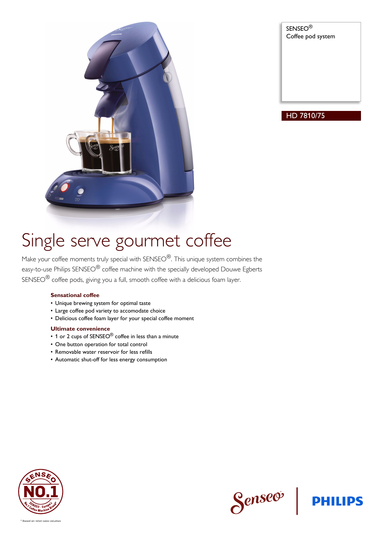

SENSEO® Coffee pod system

### HD 7810/75

# Single serve gourmet coffee

Make your coffee moments truly special with SENSEO<sup>®</sup>. This unique system combines the easy-to-use Philips SENSEO<sup>®</sup> coffee machine with the specially developed Douwe Egberts SENSEO® coffee pods, giving you a full, smooth coffee with a delicious foam layer.

### **Sensational coffee**

- Unique brewing system for optimal taste
- Large coffee pod variety to accomodate choice
- Delicious coffee foam layer for your special coffee moment

#### **Ultimate convenience**

- 1 or 2 cups of SENSEO<sup>®</sup> coffee in less than a minute
- One button operation for total control
- Removable water reservoir for less refills
- Automatic shut-off for less energy consumption